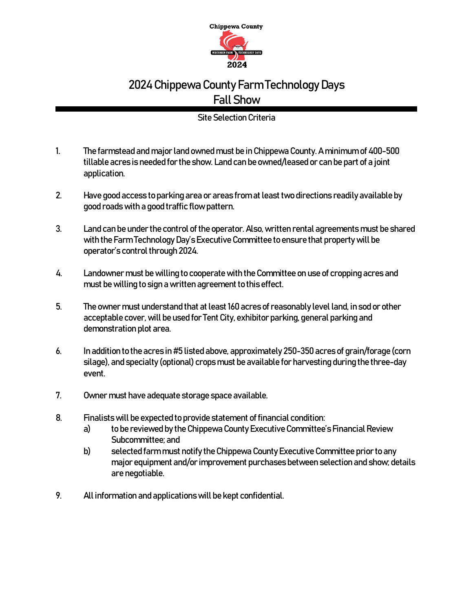

## 2024Chippewa County Farm Technology Days Fall Show

## Site Selection Criteria

- 1. The farmstead and major land owned must be in Chippewa County. A minimum of 400-500 tillable acres is needed for the show. Land can be owned/leased or can be part of a joint application.
- 2. Have good access to parking area or areas from at least two directions readily available by good roads with a good traffic flow pattern.
- 3. Land can be under the control of the operator. Also, written rental agreements must be shared with the Farm Technology Day's Executive Committee to ensure that property will be operator's control through 2024.
- 4. Landownermust be willing to cooperate with the Committee on use of cropping acres and must be willing to sign a written agreement to this effect.
- 5. The owner must understand that at least 160 acres of reasonably level land, in sod or other acceptable cover, will be used for Tent City, exhibitor parking, general parking and demonstration plot area.
- 6. In addition to the acres in #5 listed above, approximately 250-350 acres of grain/forage (corn silage), and specialty(optional) crops must be available for harvesting during the three-day event.
- 7. Owner must have adequate storage space available.
- 8. Finalists will be expected to provide statement of financial condition:
	- a) to be reviewed by the Chippewa County Executive Committee's Financial Review Subcommittee; and
	- b) selected farm must notify the Chippewa County Executive Committee prior to any major equipment and/or improvement purchases between selection and show; details are negotiable.
- 9. All information and applications will be kept confidential.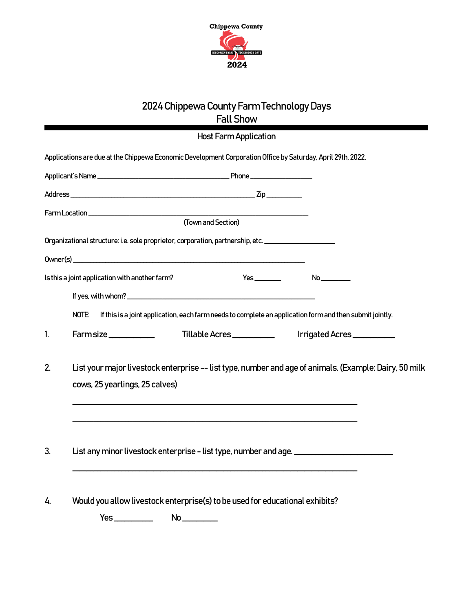

## 2024Chippewa County Farm Technology Days Fall Show

|                                                                                                     |                                                | <b>Host Farm Application</b>                                                                                |                                                                                                        |  |  |  |
|-----------------------------------------------------------------------------------------------------|------------------------------------------------|-------------------------------------------------------------------------------------------------------------|--------------------------------------------------------------------------------------------------------|--|--|--|
|                                                                                                     |                                                | Applications are due at the Chippewa Economic Development Corporation Office by Saturday, April 29th, 2022. |                                                                                                        |  |  |  |
|                                                                                                     |                                                |                                                                                                             |                                                                                                        |  |  |  |
|                                                                                                     |                                                |                                                                                                             |                                                                                                        |  |  |  |
|                                                                                                     |                                                | (Town and Section)                                                                                          |                                                                                                        |  |  |  |
|                                                                                                     |                                                |                                                                                                             |                                                                                                        |  |  |  |
| Organizational structure: i.e. sole proprietor, corporation, partnership, etc. ____________________ |                                                |                                                                                                             |                                                                                                        |  |  |  |
|                                                                                                     |                                                |                                                                                                             |                                                                                                        |  |  |  |
|                                                                                                     | Is this a joint application with another farm? |                                                                                                             | No                                                                                                     |  |  |  |
|                                                                                                     |                                                |                                                                                                             |                                                                                                        |  |  |  |
|                                                                                                     | NOTE:                                          | If this is a joint application, each farm needs to complete an application form and then submit jointly.    |                                                                                                        |  |  |  |
| 1.                                                                                                  | Farmsize                                       | Tillable Acres                                                                                              | Irrigated Acres                                                                                        |  |  |  |
| 2.                                                                                                  | cows, 25 yearlings, 25 calves)                 |                                                                                                             | List your major livestock enterprise -- list type, number and age of animals. (Example: Dairy, 50 milk |  |  |  |
| 3.                                                                                                  |                                                | List any minor livestock enterprise - list type, number and age.                                            |                                                                                                        |  |  |  |
| 4.                                                                                                  |                                                | Would you allow livestock enterprise(s) to be used for educational exhibits?                                |                                                                                                        |  |  |  |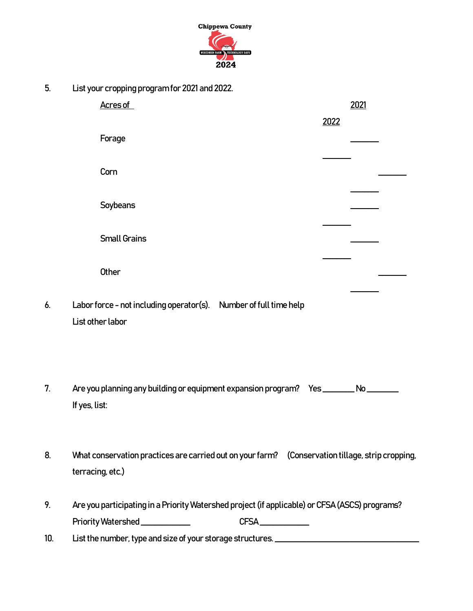

5. List your cropping program for 2021and 2022.

|     | Acres of                                                                                         |      | 2021  |  |
|-----|--------------------------------------------------------------------------------------------------|------|-------|--|
|     |                                                                                                  | 2022 |       |  |
|     | Forage                                                                                           |      |       |  |
|     |                                                                                                  |      |       |  |
|     | Corn                                                                                             |      |       |  |
|     |                                                                                                  |      |       |  |
|     | Soybeans                                                                                         |      |       |  |
|     |                                                                                                  |      |       |  |
|     | <b>Small Grains</b>                                                                              |      |       |  |
|     |                                                                                                  |      |       |  |
|     | Other                                                                                            |      |       |  |
|     |                                                                                                  |      |       |  |
| 6.  | Labor force - not including operator(s). Number of full time help<br>List other labor            |      |       |  |
|     |                                                                                                  |      |       |  |
|     |                                                                                                  |      |       |  |
|     |                                                                                                  |      |       |  |
| 7.  | Are you planning any building or equipment expansion program? Yes _______                        |      | $N_0$ |  |
|     | If yes, list:                                                                                    |      |       |  |
|     |                                                                                                  |      |       |  |
|     |                                                                                                  |      |       |  |
| 8.  | What conservation practices are carried out on your farm? (Conservation tillage, strip cropping, |      |       |  |
|     | terracing, etc.)                                                                                 |      |       |  |
|     |                                                                                                  |      |       |  |
| 9.  | Are you participating in a Priority Watershed project (if applicable) or CFSA (ASCS) programs?   |      |       |  |
|     | Priority Watershed _____________<br>CFSA___________                                              |      |       |  |
| 10. | List the number, type and size of your storage structures. ______________________                |      |       |  |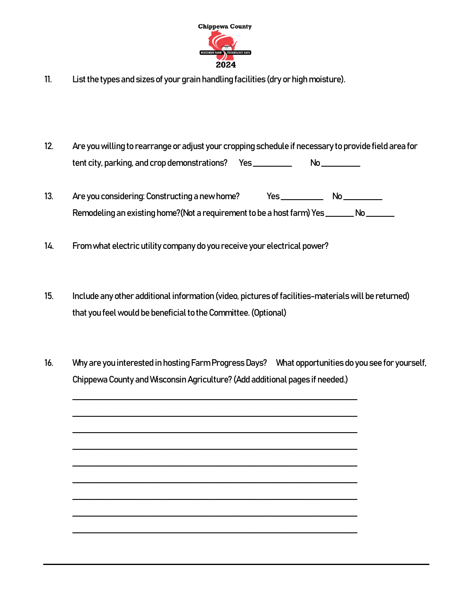

- 11. List the types and sizes of your grain handling facilities (dry or high moisture).
- 12. Are you willing to rearrange or adjust your cropping schedule if necessary to provide field area for tent city, parking, and crop demonstrations? Yes \_\_\_\_\_\_\_\_\_\_\_ No \_\_\_\_\_\_\_\_\_\_
- 13. Are you considering: Constructing a new home? Yes \_\_\_\_\_\_\_\_\_\_\_\_\_ No \_\_\_\_\_\_\_\_\_ Remodeling an existing home?(Not a requirement to be a host farm) Yes \_\_\_\_\_\_\_\_\_ No
- 14. From what electric utility company do you receive your electrical power?
- 15. Include any other additional information (video, pictures of facilities-materials will be returned) that you feel would be beneficial to the Committee. (Optional)
- 16. Why are you interested in hosting Farm Progress Days? What opportunities do you see for yourself, Chippewa County and Wisconsin Agriculture? (Add additional pages if needed.)

\_\_\_\_\_\_\_\_\_\_\_\_\_\_\_\_\_\_\_\_\_\_\_\_\_\_\_\_\_\_\_\_\_\_\_\_\_\_\_\_\_\_\_\_\_\_\_\_\_\_\_\_\_\_\_\_\_\_\_\_\_\_\_\_\_\_\_\_\_\_\_\_\_\_\_\_\_\_\_\_\_

\_\_\_\_\_\_\_\_\_\_\_\_\_\_\_\_\_\_\_\_\_\_\_\_\_\_\_\_\_\_\_\_\_\_\_\_\_\_\_\_\_\_\_\_\_\_\_\_\_\_\_\_\_\_\_\_\_\_\_\_\_\_\_\_\_\_\_\_\_\_\_\_\_\_\_\_\_\_\_\_\_

\_\_\_\_\_\_\_\_\_\_\_\_\_\_\_\_\_\_\_\_\_\_\_\_\_\_\_\_\_\_\_\_\_\_\_\_\_\_\_\_\_\_\_\_\_\_\_\_\_\_\_\_\_\_\_\_\_\_\_\_\_\_\_\_\_\_\_\_\_\_\_\_\_\_\_\_\_\_\_\_\_

\_\_\_\_\_\_\_\_\_\_\_\_\_\_\_\_\_\_\_\_\_\_\_\_\_\_\_\_\_\_\_\_\_\_\_\_\_\_\_\_\_\_\_\_\_\_\_\_\_\_\_\_\_\_\_\_\_\_\_\_\_\_\_\_\_\_\_\_\_\_\_\_\_\_\_\_\_\_\_\_\_

\_\_\_\_\_\_\_\_\_\_\_\_\_\_\_\_\_\_\_\_\_\_\_\_\_\_\_\_\_\_\_\_\_\_\_\_\_\_\_\_\_\_\_\_\_\_\_\_\_\_\_\_\_\_\_\_\_\_\_\_\_\_\_\_\_\_\_\_\_\_\_\_\_\_\_\_\_\_\_\_\_

\_\_\_\_\_\_\_\_\_\_\_\_\_\_\_\_\_\_\_\_\_\_\_\_\_\_\_\_\_\_\_\_\_\_\_\_\_\_\_\_\_\_\_\_\_\_\_\_\_\_\_\_\_\_\_\_\_\_\_\_\_\_\_\_\_\_\_\_\_\_\_\_\_\_\_\_\_\_\_\_\_

\_\_\_\_\_\_\_\_\_\_\_\_\_\_\_\_\_\_\_\_\_\_\_\_\_\_\_\_\_\_\_\_\_\_\_\_\_\_\_\_\_\_\_\_\_\_\_\_\_\_\_\_\_\_\_\_\_\_\_\_\_\_\_\_\_\_\_\_\_\_\_\_\_\_\_\_\_\_\_\_\_

\_\_\_\_\_\_\_\_\_\_\_\_\_\_\_\_\_\_\_\_\_\_\_\_\_\_\_\_\_\_\_\_\_\_\_\_\_\_\_\_\_\_\_\_\_\_\_\_\_\_\_\_\_\_\_\_\_\_\_\_\_\_\_\_\_\_\_\_\_\_\_\_\_\_\_\_\_\_\_\_\_

\_\_\_\_\_\_\_\_\_\_\_\_\_\_\_\_\_\_\_\_\_\_\_\_\_\_\_\_\_\_\_\_\_\_\_\_\_\_\_\_\_\_\_\_\_\_\_\_\_\_\_\_\_\_\_\_\_\_\_\_\_\_\_\_\_\_\_\_\_\_\_\_\_\_\_\_\_\_\_\_\_